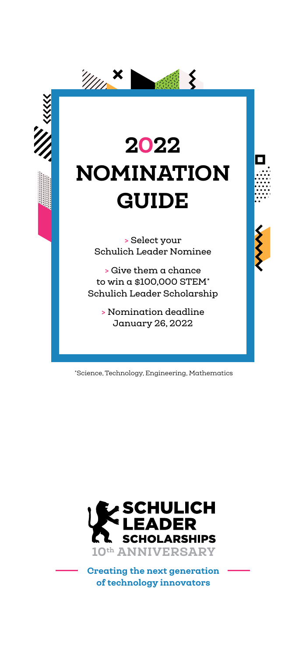

\*Science, Technology, Engineering, Mathematics



Creating the next generation of technology innovators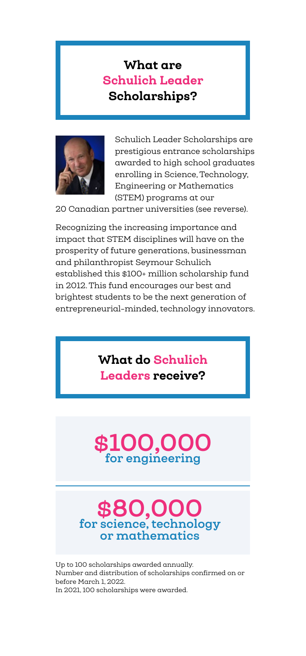### What are Schulich Leader Scholarships?



Schulich Leader Scholarships are prestigious entrance scholarships awarded to high school graduates enrolling in Science, Technology, Engineering or Mathematics (STEM) programs at our

20 Canadian partner universities (see reverse).

Recognizing the increasing importance and impact that STEM disciplines will have on the prosperity of future generations, businessman and philanthropist Seymour Schulich established this \$100+ million scholarship fund in 2012. This fund encourages our best and brightest students to be the next generation of entrepreneurial-minded, technology innovators.

### What do Schulich Leaders receive?



# **\$80,000 for science, technology or mathematics**

Up to 100 scholarships awarded annually. Number and distribution of scholarships confirmed on or before March 1, 2022. In 2021, 100 scholarships were awarded.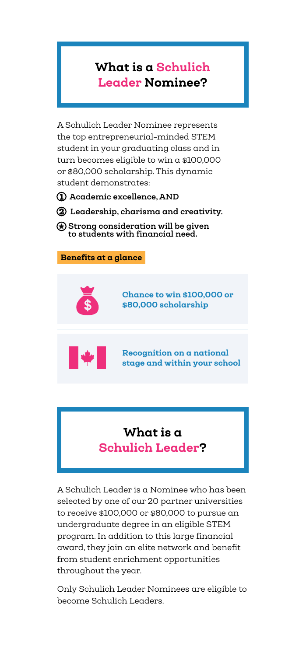### What is a Schulich Leader Nominee?

A Schulich Leader Nominee represents the top entrepreneurial-minded STEM student in your graduating class and in turn becomes eligible to win a \$100,000 or \$80,000 scholarship. This dynamic student demonstrates:

1 **Academic excellence, AND**

2 **Leadership, charisma and creativity.**

 **Strong consideration will be given to students with financial need.**



## What is a Schulich Leader?

A Schulich Leader is a Nominee who has been selected by one of our 20 partner universities to receive \$100,000 or \$80,000 to pursue an undergraduate degree in an eligible STEM program. In addition to this large financial award, they join an elite network and benefit from student enrichment opportunities throughout the year.

Only Schulich Leader Nominees are eligible to become Schulich Leaders.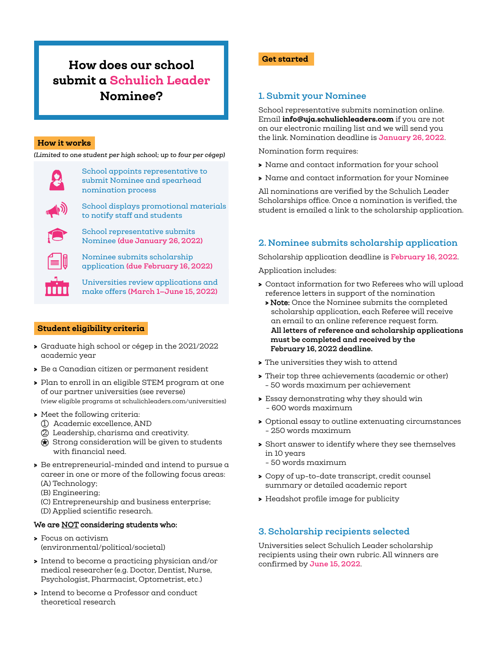### How does our school submit a Schulich Leader Nominee? **1. Submit your Nominee**

#### How it works

*(Limited to one student per high school; up to four per cégep)*



School appoints representative to submit Nominee and spearhead nomination process

School representative submits Nominee **(due January 26, 2022)**

School displays promotional materials to notify staff and students

Nominee submits scholarship application **(due February 16, 2022)**

Universities review applications and make offers **(March 1—June 15, 2022)**

#### Student eligibility criteria

- > Graduate high school or cégep in the 2021/2022 academic year
- > Be a Canadian citizen or permanent resident
- > Plan to enroll in an eligible STEM program at one of our partner universities (see reverse) (view eligible programs at schulichleaders.com/universities)
- > Meet the following criteria:
	- 1 Academic excellence, AND
	- 2 Leadership, charisma and creativity.
	- $\bigcirc$  Strong consideration will be given to students with financial need.
- > Be entrepreneurial-minded and intend to pursue a career in one or more of the following focus areas: (A) Technology;
	- (B) Engineering;
	- (C) Entrepreneurship and business enterprise; (D) Applied scientific research.

#### We are NOT considering students who:

- **>** Focus on activism (environmental/political/societal)
- **>** Intend to become a practicing physician and/or medical researcher (e.g. Doctor, Dentist, Nurse, Psychologist, Pharmacist, Optometrist, etc.)
- **>** Intend to become a Professor and conduct theoretical research

#### Get started

School representative submits nomination online. Email info@uja.schulichleaders.com if you are not on our electronic mailing list and we will send you the link. Nomination deadline is **January 26, 2022**.

Nomination form requires:

- > Name and contact information for your school
- > Name and contact information for your Nominee

All nominations are verified by the Schulich Leader Scholarships office. Once a nomination is verified, the student is emailed a link to the scholarship application.

#### **2. Nominee submits scholarship application**

Scholarship application deadline is **February 16, 2022**.

Application includes:

- > Contact information for two Referees who will upload reference letters in support of the nomination
	- > Note: Once the Nominee submits the completed scholarship application, each Referee will receive an email to an online reference request form. **All letters of reference and scholarship applications must be completed and received by the February 16, 2022 deadline.**
- > The universities they wish to attend
- > Their top three achievements (academic or other) - 50 words maximum per achievement
- > Essay demonstrating why they should win - 600 words maximum
- > Optional essay to outline extenuating circumstances - 250 words maximum
- > Short answer to identify where they see themselves in 10 years - 50 words maximum
- > Copy of up-to-date transcript, credit counsel summary or detailed academic report
- > Headshot profile image for publicity

### **3. Scholarship recipients selected**

Universities select Schulich Leader scholarship recipients using their own rubric. All winners are confirmed by **June 15, 2022**.